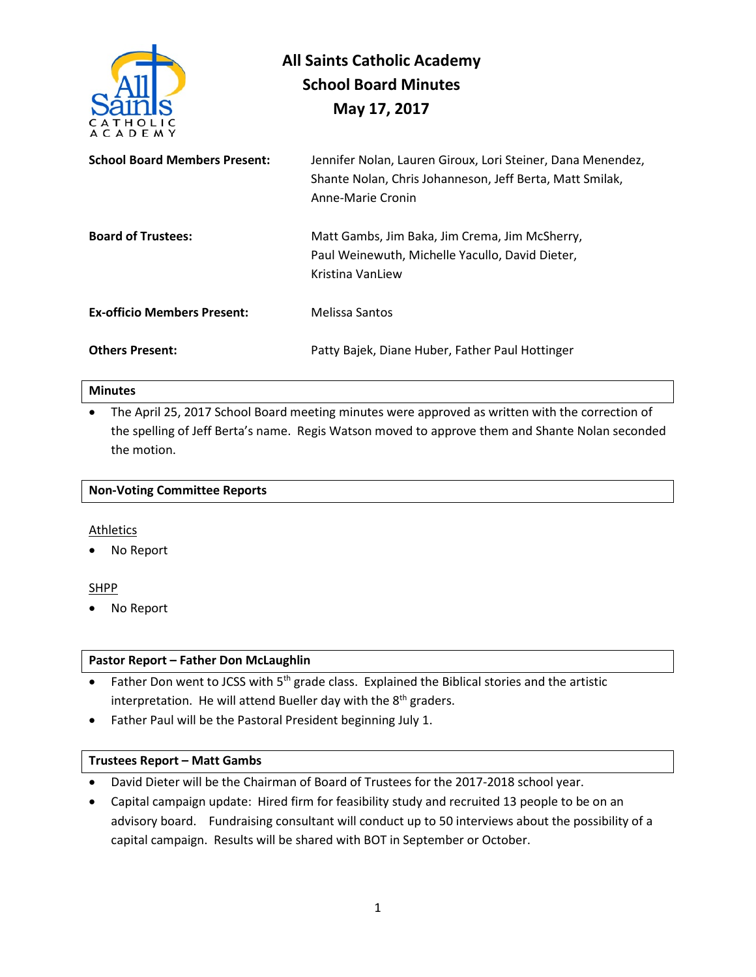

# **All Saints Catholic Academy School Board Minutes May 17, 2017**

| <b>School Board Members Present:</b> | Jennifer Nolan, Lauren Giroux, Lori Steiner, Dana Menendez,<br>Shante Nolan, Chris Johanneson, Jeff Berta, Matt Smilak,<br>Anne-Marie Cronin |  |
|--------------------------------------|----------------------------------------------------------------------------------------------------------------------------------------------|--|
| <b>Board of Trustees:</b>            | Matt Gambs, Jim Baka, Jim Crema, Jim McSherry,<br>Paul Weinewuth, Michelle Yacullo, David Dieter,<br>Kristina VanLiew                        |  |
| <b>Ex-officio Members Present:</b>   | Melissa Santos                                                                                                                               |  |
| <b>Others Present:</b>               | Patty Bajek, Diane Huber, Father Paul Hottinger                                                                                              |  |

#### **Minutes**

• The April 25, 2017 School Board meeting minutes were approved as written with the correction of the spelling of Jeff Berta's name. Regis Watson moved to approve them and Shante Nolan seconded the motion.

|  | <b>Non-Voting Committee Reports</b> |  |
|--|-------------------------------------|--|
|--|-------------------------------------|--|

## Athletics

No Report

## SHPP

• No Report

## **Pastor Report – Father Don McLaughlin**

- Father Don went to JCSS with 5<sup>th</sup> grade class. Explained the Biblical stories and the artistic interpretation. He will attend Bueller day with the 8<sup>th</sup> graders.
- Father Paul will be the Pastoral President beginning July 1.

## **Trustees Report – Matt Gambs**

- David Dieter will be the Chairman of Board of Trustees for the 2017-2018 school year.
- Capital campaign update: Hired firm for feasibility study and recruited 13 people to be on an advisory board. Fundraising consultant will conduct up to 50 interviews about the possibility of a capital campaign. Results will be shared with BOT in September or October.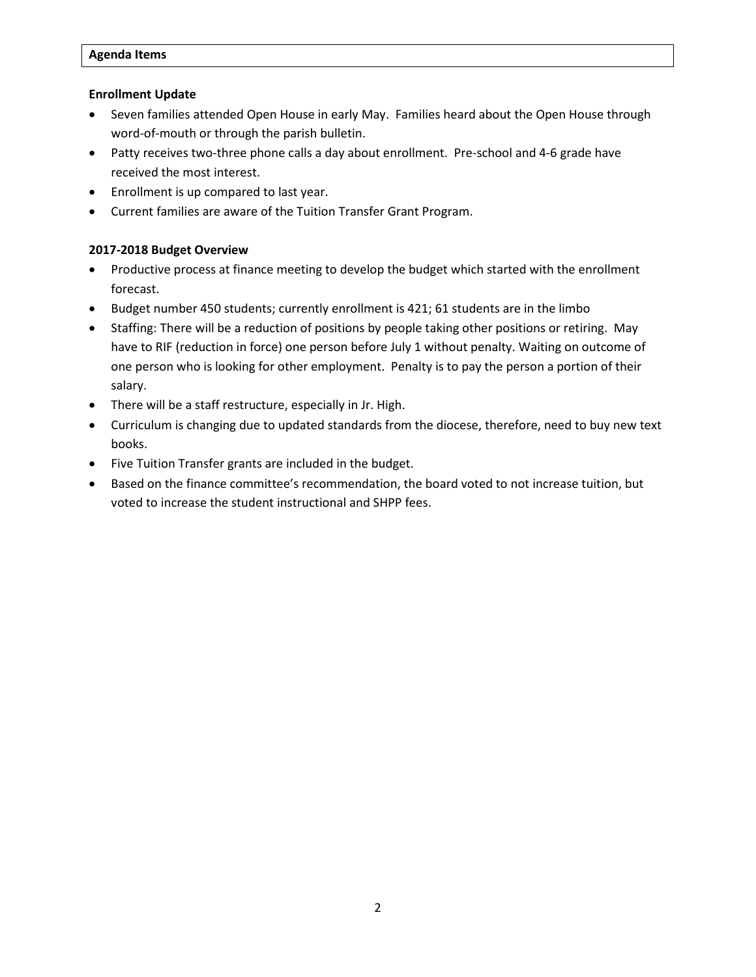#### **Agenda Items**

#### **Enrollment Update**

- Seven families attended Open House in early May. Families heard about the Open House through word-of-mouth or through the parish bulletin.
- Patty receives two-three phone calls a day about enrollment. Pre-school and 4-6 grade have received the most interest.
- Enrollment is up compared to last year.
- Current families are aware of the Tuition Transfer Grant Program.

## **2017-2018 Budget Overview**

- Productive process at finance meeting to develop the budget which started with the enrollment forecast.
- Budget number 450 students; currently enrollment is 421; 61 students are in the limbo
- Staffing: There will be a reduction of positions by people taking other positions or retiring. May have to RIF (reduction in force) one person before July 1 without penalty. Waiting on outcome of one person who is looking for other employment. Penalty is to pay the person a portion of their salary.
- There will be a staff restructure, especially in Jr. High.
- Curriculum is changing due to updated standards from the diocese, therefore, need to buy new text books.
- Five Tuition Transfer grants are included in the budget.
- Based on the finance committee's recommendation, the board voted to not increase tuition, but voted to increase the student instructional and SHPP fees.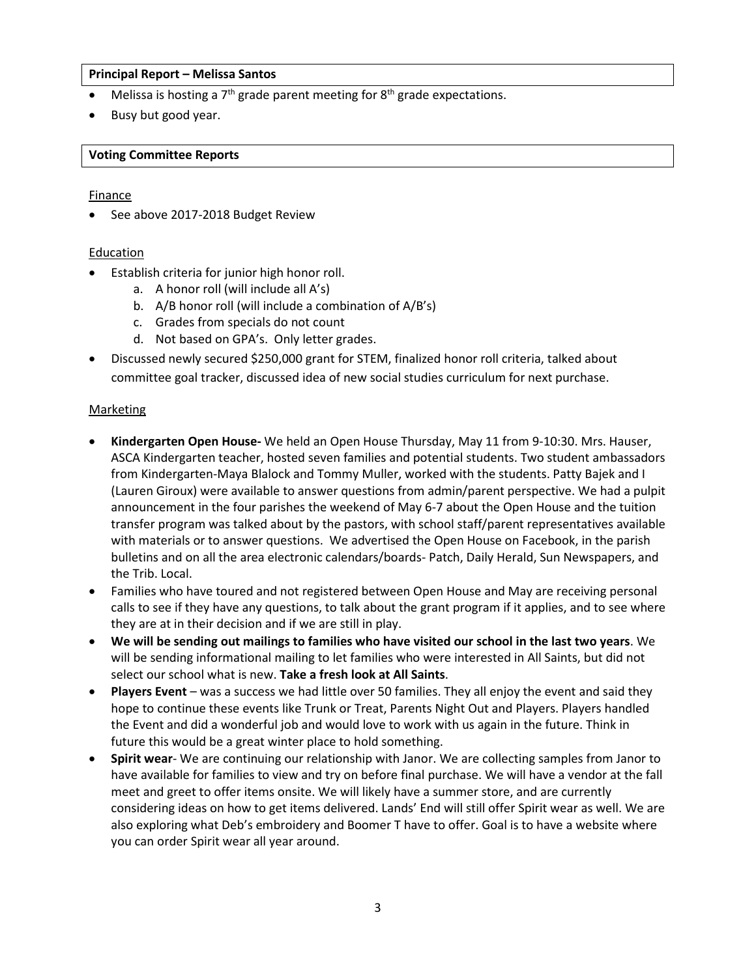#### **Principal Report – Melissa Santos**

- Melissa is hosting a  $7<sup>th</sup>$  grade parent meeting for  $8<sup>th</sup>$  grade expectations.
- Busy but good year.

#### **Voting Committee Reports**

#### Finance

See above 2017-2018 Budget Review

## Education

- Establish criteria for junior high honor roll.
	- a. A honor roll (will include all A's)
	- b. A/B honor roll (will include a combination of A/B's)
	- c. Grades from specials do not count
	- d. Not based on GPA's. Only letter grades.
- Discussed newly secured \$250,000 grant for STEM, finalized honor roll criteria, talked about committee goal tracker, discussed idea of new social studies curriculum for next purchase.

#### **Marketing**

- **Kindergarten Open House-** We held an Open House Thursday, May 11 from 9-10:30. Mrs. Hauser, ASCA Kindergarten teacher, hosted seven families and potential students. Two student ambassadors from Kindergarten-Maya Blalock and Tommy Muller, worked with the students. Patty Bajek and I (Lauren Giroux) were available to answer questions from admin/parent perspective. We had a pulpit announcement in the four parishes the weekend of May 6-7 about the Open House and the tuition transfer program was talked about by the pastors, with school staff/parent representatives available with materials or to answer questions. We advertised the Open House on Facebook, in the parish bulletins and on all the area electronic calendars/boards- Patch, Daily Herald, Sun Newspapers, and the Trib. Local.
- Families who have toured and not registered between Open House and May are receiving personal calls to see if they have any questions, to talk about the grant program if it applies, and to see where they are at in their decision and if we are still in play.
- **We will be sending out mailings to families who have visited our school in the last two years**. We will be sending informational mailing to let families who were interested in All Saints, but did not select our school what is new. **Take a fresh look at All Saints**.
- **Players Event**  was a success we had little over 50 families. They all enjoy the event and said they hope to continue these events like Trunk or Treat, Parents Night Out and Players. Players handled the Event and did a wonderful job and would love to work with us again in the future. Think in future this would be a great winter place to hold something.
- **Spirit wear** We are continuing our relationship with Janor. We are collecting samples from Janor to have available for families to view and try on before final purchase. We will have a vendor at the fall meet and greet to offer items onsite. We will likely have a summer store, and are currently considering ideas on how to get items delivered. Lands' End will still offer Spirit wear as well. We are also exploring what Deb's embroidery and Boomer T have to offer. Goal is to have a website where you can order Spirit wear all year around.